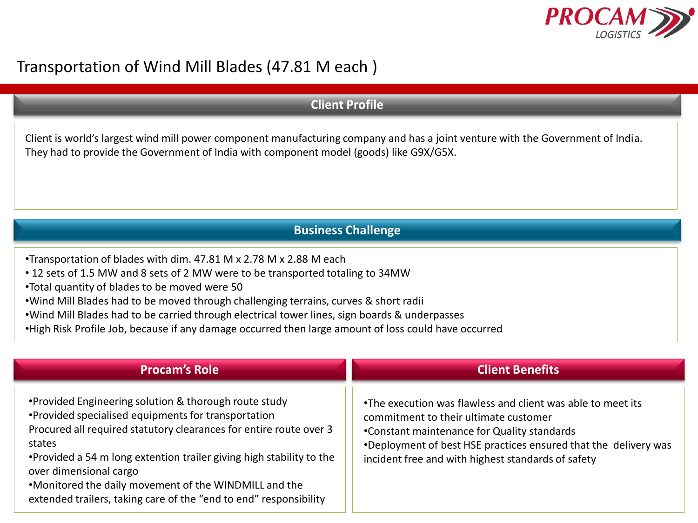

## Transportation of Wind Mill Blades (47.81 M each )

## **Client Profile**

Client is world's largest wind mill power component manufacturing company and has a joint venture with the Government of India. They had to provide the Government of India with component model (goods) like G9X/G5X.

## **Business Challenge**

- •Transportation of blades with dim. 47.81 M x 2.78 M x 2.88 M each
- 12 sets of 1.5 MW and 8 sets of 2 MW were to be transported totaling to 34MW
- •Total quantity of blades to be moved were 50
- •Wind Mill Blades had to be moved through challenging terrains, curves & short radii
- •Wind Mill Blades had to be carried through electrical tower lines, sign boards & underpasses
- •High Risk Profile Job, because if any damage occurred then large amount of loss could have occurred

| <b>Procam's Role</b>                                                                                                                                                                                                                                                                                                                                                                                                          | <b>Client Benefits</b>                                                                                                                                                                                                                                                       |
|-------------------------------------------------------------------------------------------------------------------------------------------------------------------------------------------------------------------------------------------------------------------------------------------------------------------------------------------------------------------------------------------------------------------------------|------------------------------------------------------------------------------------------------------------------------------------------------------------------------------------------------------------------------------------------------------------------------------|
| •Provided Engineering solution & thorough route study<br>•Provided specialised equipments for transportation<br>Procured all required statutory clearances for entire route over 3<br>states<br>. Provided a 54 m long extention trailer giving high stability to the<br>over dimensional cargo<br>.Monitored the daily movement of the WINDMILL and the<br>extended trailers, taking care of the "end to end" responsibility | •The execution was flawless and client was able to meet its<br>commitment to their ultimate customer<br>•Constant maintenance for Quality standards<br>*Deployment of best HSE practices ensured that the delivery was<br>incident free and with highest standards of safety |